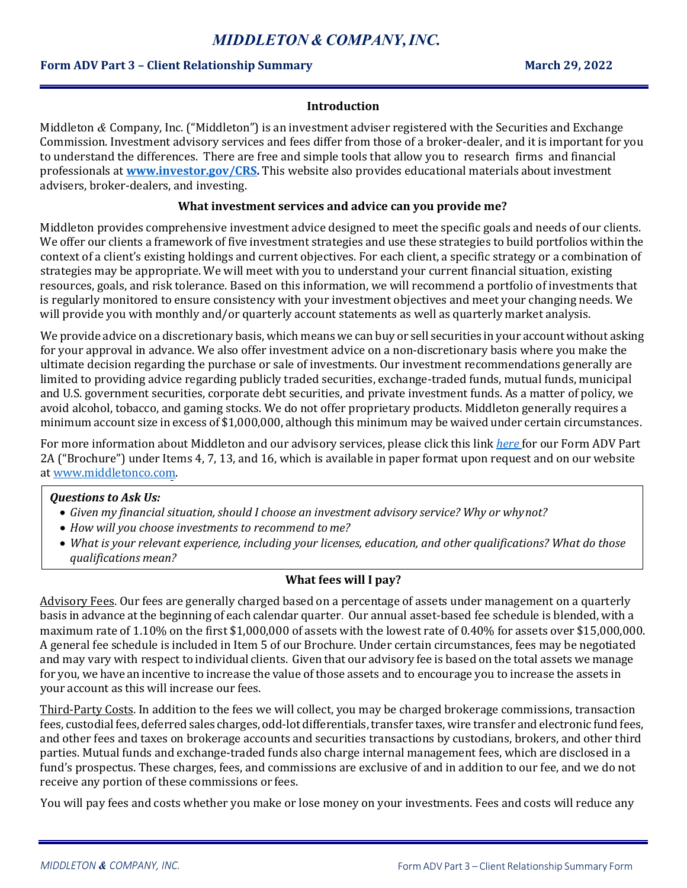# *MIDDLETON &COMPANY,INC.*

## **Form ADV Part 3 – Client Relationship Summary March 29, 2022**

#### **Introduction**

Middleton *&* Company, Inc. ("Middleton") is an investment adviser registered with the Securities and Exchange Commission. Investment advisory services and fees differ from those of a broker-dealer, and it is important for you to understand the differences. There are free and simple tools that allow you to research firms and financial professionals at **[www.investor.gov/CRS.](http://www.investor.gov/CRS)** This website also provides educational materials about investment advisers, broker-dealers, and investing.

#### **What investment services and advice can you provide me?**

Middleton provides comprehensive investment advice designed to meet the specific goals and needs of our clients. We offer our clients a framework of five investment strategies and use these strategies to build portfolios within the context of a client's existing holdings and current objectives. For each client, a specific strategy or a combination of strategies may be appropriate. We will meet with you to understand your current financial situation, existing resources, goals, and risk tolerance. Based on this information, we will recommend a portfolio of investments that is regularly monitored to ensure consistency with your investment objectives and meet your changing needs. We will provide you with monthly and/or quarterly account statements as well as quarterly market analysis.

We provide advice on a discretionary basis, which means we can buy or sell securities in your account without asking for your approval in advance. We also offer investment advice on a non-discretionary basis where you make the ultimate decision regarding the purchase or sale of investments. Our investment recommendations generally are limited to providing advice regarding publicly traded securities, exchange-traded funds, mutual funds, municipal and U.S. government securities, corporate debt securities, and private investment funds. As a matter of policy, we avoid alcohol, tobacco, and gaming stocks. We do not offer proprietary products. Middleton generally requires a minimum account size in excess of \$1,000,000, although this minimum may be waived under certain circumstances.

For more information about Middleton and our advisory services, please click this link *[here](https://adviserinfo.sec.gov/firm/summary/104549)* for our Form ADV Part 2A ("Brochure") under Items 4, 7, 13, and 16, which is available in paper format upon request and on our website a[t www.middletonco.com.](http://www.middletonco.com/)

#### *Questions to Ask Us:*

- *Given my financial situation, should I choose an investment advisory service? Why or whynot?*
- *How will you choose investments to recommend tome?*
- *What is your relevant experience, including your licenses, education, and other qualifications? What do those qualifications mean?*

## **What fees will I pay?**

Advisory Fees. Our fees are generally charged based on a percentage of assets under management on a quarterly basis in advance at the beginning of each calendar quarter. Our annual asset-based fee schedule is blended, with a maximum rate of 1.10% on the first \$1,000,000 of assets with the lowest rate of 0.40% for assets over \$15,000,000. A general fee schedule is included in Item 5 of our Brochure. Under certain circumstances, fees may be negotiated and may vary with respect to individual clients. Given that our advisory fee is based on the total assets we manage for you, we have an incentive to increase the value of those assets and to encourage you to increase the assets in your account as this will increase our fees.

Third-Party Costs. In addition to the fees we will collect, you may be charged brokerage commissions, transaction fees, custodial fees, deferred sales charges, odd-lot differentials, transfer taxes, wire transfer and electronic fund fees, and other fees and taxes on brokerage accounts and securities transactions by custodians, brokers, and other third parties. Mutual funds and exchange-traded funds also charge internal management fees, which are disclosed in a fund's prospectus. These charges, fees, and commissions are exclusive of and in addition to our fee, and we do not receive any portion of these commissions or fees.

You will pay fees and costs whether you make or lose money on your investments. Fees and costs will reduce any